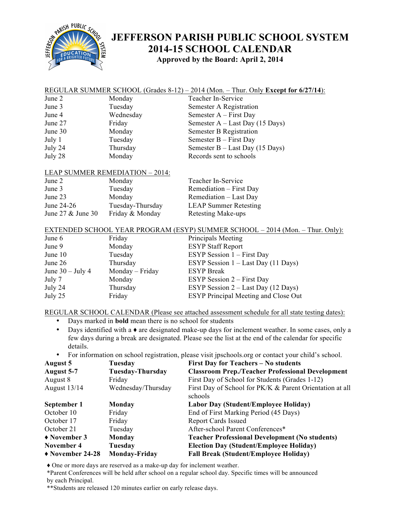

## **JEFFERSON PARISH PUBLIC SCHOOL SYSTEM 2014-15 SCHOOL CALENDAR Approved by the Board: April 2, 2014**

|                                                                                                                        |                                        | REGULAR SUMMER SCHOOL (Grades $8-12$ ) – 2014 (Mon. – Thur. Only Except for 6/27/14):              |  |  |
|------------------------------------------------------------------------------------------------------------------------|----------------------------------------|----------------------------------------------------------------------------------------------------|--|--|
| June 2                                                                                                                 | Monday                                 | Teacher In-Service                                                                                 |  |  |
| June 3                                                                                                                 | Tuesday                                | Semester A Registration                                                                            |  |  |
| June 4                                                                                                                 | Wednesday                              | Semester A – First Day                                                                             |  |  |
| June 27                                                                                                                | Friday                                 | Semester $A - Last Day (15 Days)$                                                                  |  |  |
| June 30                                                                                                                | Monday                                 | <b>Semester B Registration</b>                                                                     |  |  |
| July 1                                                                                                                 | Tuesday                                | Semester $B$ – First Day                                                                           |  |  |
| July 24                                                                                                                | Thursday                               | Semester B - Last Day (15 Days)                                                                    |  |  |
| July 28                                                                                                                | Monday                                 | Records sent to schools                                                                            |  |  |
|                                                                                                                        | <b>LEAP SUMMER REMEDIATION - 2014:</b> |                                                                                                    |  |  |
| June 2                                                                                                                 | Monday                                 | Teacher In-Service                                                                                 |  |  |
| June 3                                                                                                                 | Tuesday                                | Remediation - First Day                                                                            |  |  |
| June 23                                                                                                                | Monday                                 | Remediation - Last Day                                                                             |  |  |
| June 24-26                                                                                                             | Tuesday-Thursday                       | <b>LEAP Summer Retesting</b>                                                                       |  |  |
| June 27 & June 30                                                                                                      | Friday & Monday                        | Retesting Make-ups                                                                                 |  |  |
| EXTENDED SCHOOL YEAR PROGRAM (ESYP) SUMMER SCHOOL - 2014 (Mon. - Thur. Only):                                          |                                        |                                                                                                    |  |  |
| June 6                                                                                                                 | Friday                                 | Principals Meeting                                                                                 |  |  |
| June 9                                                                                                                 | Monday                                 | <b>ESYP Staff Report</b>                                                                           |  |  |
| June 10                                                                                                                | Tuesday                                | ESYP Session $1 -$ First Day                                                                       |  |  |
| June 26                                                                                                                | Thursday                               | ESYP Session $1 -$ Last Day (11 Days)                                                              |  |  |
| June $30 -$ July 4                                                                                                     | Monday - Friday                        | <b>ESYP</b> Break                                                                                  |  |  |
| July 7                                                                                                                 | Monday                                 | ESYP Session 2 – First Day                                                                         |  |  |
| July 24                                                                                                                | Thursday                               | ESYP Session $2$ – Last Day (12 Days)                                                              |  |  |
| July 25                                                                                                                | Friday                                 | ESYP Principal Meeting and Close Out                                                               |  |  |
| REGULAR SCHOOL CALENDAR (Please see attached assessment schedule for all state testing dates):                         |                                        |                                                                                                    |  |  |
| Days marked in <b>bold</b> mean there is no school for students<br>$\bullet$                                           |                                        |                                                                                                    |  |  |
| Days identified with a $\bullet$ are designated make-up days for inclement weather. In some cases, only a<br>$\bullet$ |                                        |                                                                                                    |  |  |
| few days during a break are designated. Please see the list at the end of the calendar for specific<br>details.        |                                        |                                                                                                    |  |  |
| $\bullet$                                                                                                              |                                        | For information on school registration, please visit jpschools.org or contact your child's school. |  |  |
| <b>August 5</b>                                                                                                        | Tuesday                                | <b>First Day for Teachers - No students</b>                                                        |  |  |
| <b>August 5-7</b>                                                                                                      | <b>Tuesday-Thursday</b>                | <b>Classroom Prep./Teacher Professional Development</b>                                            |  |  |
| August 8                                                                                                               | Friday                                 | First Day of School for Students (Grades 1-12)                                                     |  |  |
| August 13/14                                                                                                           | Wednesday/Thursday                     | First Day of School for PK/K & Parent Orientation at all<br>schools                                |  |  |
| September 1                                                                                                            | Monday                                 | Labor Day (Student/Employee Holiday)                                                               |  |  |
| October 10                                                                                                             | Friday                                 | End of First Marking Period (45 Days)                                                              |  |  |
| October 17                                                                                                             | Friday                                 | <b>Report Cards Issued</b>                                                                         |  |  |
| October 21                                                                                                             | Tuesday                                | After-school Parent Conferences*                                                                   |  |  |
| ◆ November 3                                                                                                           | Monday                                 | <b>Teacher Professional Development (No students)</b>                                              |  |  |
| <b>November 4</b>                                                                                                      | Tuesday                                | <b>Election Day (Student/Employee Holiday)</b>                                                     |  |  |
| November 24-28                                                                                                         | <b>Monday-Friday</b>                   | <b>Fall Break (Student/Employee Holiday)</b>                                                       |  |  |

♦ One or more days are reserved as a make-up day for inclement weather.

\*Parent Conferences will be held after school on a regular school day. Specific times will be announced by each Principal.

\*\*Students are released 120 minutes earlier on early release days.